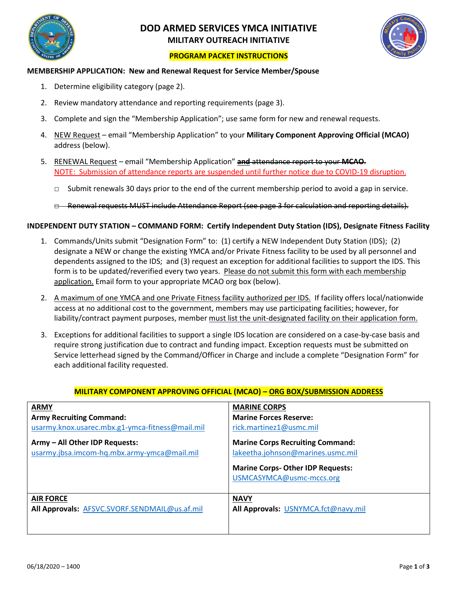

# **DOD ARMED SERVICES YMCA INITIATIVE MILITARY OUTREACH INITIATIVE**



## **PROGRAM PACKET INSTRUCTIONS**

### **MEMBERSHIP APPLICATION: New and Renewal Request for Service Member/Spouse**

- 1. Determine eligibility category (page 2).
- 2. Review mandatory attendance and reporting requirements (page 3).
- 3. Complete and sign the "Membership Application"; use same form for new and renewal requests.
- 4. NEW Request email "Membership Application" to your **Military Component Approving Official (MCAO)** address (below).
- 5. RENEWAL Request email "Membership Application" **and** attendance report to your **MCAO**. NOTE: Submission of attendance reports are suspended until further notice due to COVID-19 disruption.
	- $\Box$  Submit renewals 30 days prior to the end of the current membership period to avoid a gap in service.
	- □ Renewal requests MUST include Attendance Report (see page 3 for calculation and reporting details).

### **INDEPENDENT DUTY STATION – COMMAND FORM: Certify Independent Duty Station (IDS), Designate Fitness Facility**

- 1. Commands/Units submit "Designation Form" to: (1) certify a NEW Independent Duty Station (IDS); (2) designate a NEW or change the existing YMCA and/or Private Fitness facility to be used by all personnel and dependents assigned to the IDS; and (3) request an exception for additional facilities to support the IDS. This form is to be updated/reverified every two years. Please do not submit this form with each membership application. Email form to your appropriate MCAO org box (below).
- 2. A maximum of one YMCA and one Private Fitness facility authorized per IDS. If facility offers local/nationwide access at no additional cost to the government, members may use participating facilities; however, for liability/contract payment purposes, member must list the unit-designated facility on their application form.
- 3. Exceptions for additional facilities to support a single IDS location are considered on a case-by-case basis and require strong justification due to contract and funding impact. Exception requests must be submitted on Service letterhead signed by the Command/Officer in Charge and include a complete "Designation Form" for each additional facility requested.

| <b>ARMY</b>                                                                   | <b>MARINE CORPS</b>                                                                                                                                 |
|-------------------------------------------------------------------------------|-----------------------------------------------------------------------------------------------------------------------------------------------------|
| <b>Army Recruiting Command:</b>                                               | <b>Marine Forces Reserve:</b>                                                                                                                       |
| usarmy.knox.usarec.mbx.g1-ymca-fitness@mail.mil                               | rick.martinez1@usmc.mil                                                                                                                             |
| Army - All Other IDP Requests:<br>usarmy.jbsa.imcom-hq.mbx.army-ymca@mail.mil | <b>Marine Corps Recruiting Command:</b><br>lakeetha.johnson@marines.usmc.mil<br><b>Marine Corps-Other IDP Requests:</b><br>USMCASYMCA@usmc-mccs.org |
| <b>AIR FORCE</b>                                                              | <b>NAVY</b>                                                                                                                                         |
| All Approvals: AFSVC.SVORF.SENDMAIL@us.af.mil                                 | All Approvals: USNYMCA.fct@navy.mil                                                                                                                 |

### **MILITARY COMPONENT APPROVING OFFICIAL (MCAO) – ORG BOX/SUBMISSION ADDRESS**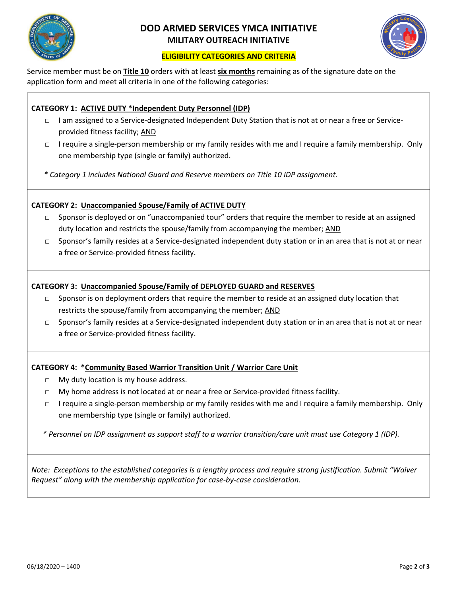

# **DOD ARMED SERVICES YMCA INITIATIVE MILITARY OUTREACH INITIATIVE**



## **ELIGIBILITY CATEGORIES AND CRITERIA**

Service member must be on **Title 10** orders with at least **six months** remaining as of the signature date on the application form and meet all criteria in one of the following categories:

## **CATEGORY 1: ACTIVE DUTY \*Independent Duty Personnel (IDP)**

- □ I am assigned to a Service-designated Independent Duty Station that is not at or near a free or Serviceprovided fitness facility; AND
- □ I require a single-person membership or my family resides with me and I require a family membership. Only one membership type (single or family) authorized.

*\* Category 1 includes National Guard and Reserve members on Title 10 IDP assignment.*

## **CATEGORY 2: Unaccompanied Spouse/Family of ACTIVE DUTY**

- $\square$  Sponsor is deployed or on "unaccompanied tour" orders that require the member to reside at an assigned duty location and restricts the spouse/family from accompanying the member; AND
- □ Sponsor's family resides at a Service-designated independent duty station or in an area that is not at or near a free or Service-provided fitness facility.

## **CATEGORY 3: Unaccompanied Spouse/Family of DEPLOYED GUARD and RESERVES**

- $\Box$  Sponsor is on deployment orders that require the member to reside at an assigned duty location that restricts the spouse/family from accompanying the member; AND
- □ Sponsor's family resides at a Service-designated independent duty station or in an area that is not at or near a free or Service-provided fitness facility.

## **CATEGORY 4: \*Community Based Warrior Transition Unit / Warrior Care Unit**

- □ My duty location is my house address.
- □ My home address is not located at or near a free or Service-provided fitness facility.
- □ I require a single-person membership or my family resides with me and I require a family membership. Only one membership type (single or family) authorized.

*\* Personnel on IDP assignment as support staff to a warrior transition/care unit must use Category 1 (IDP).*

*Note: Exceptions to the established categories is a lengthy process and require strong justification. Submit "Waiver Request" along with the membership application for case-by-case consideration.*